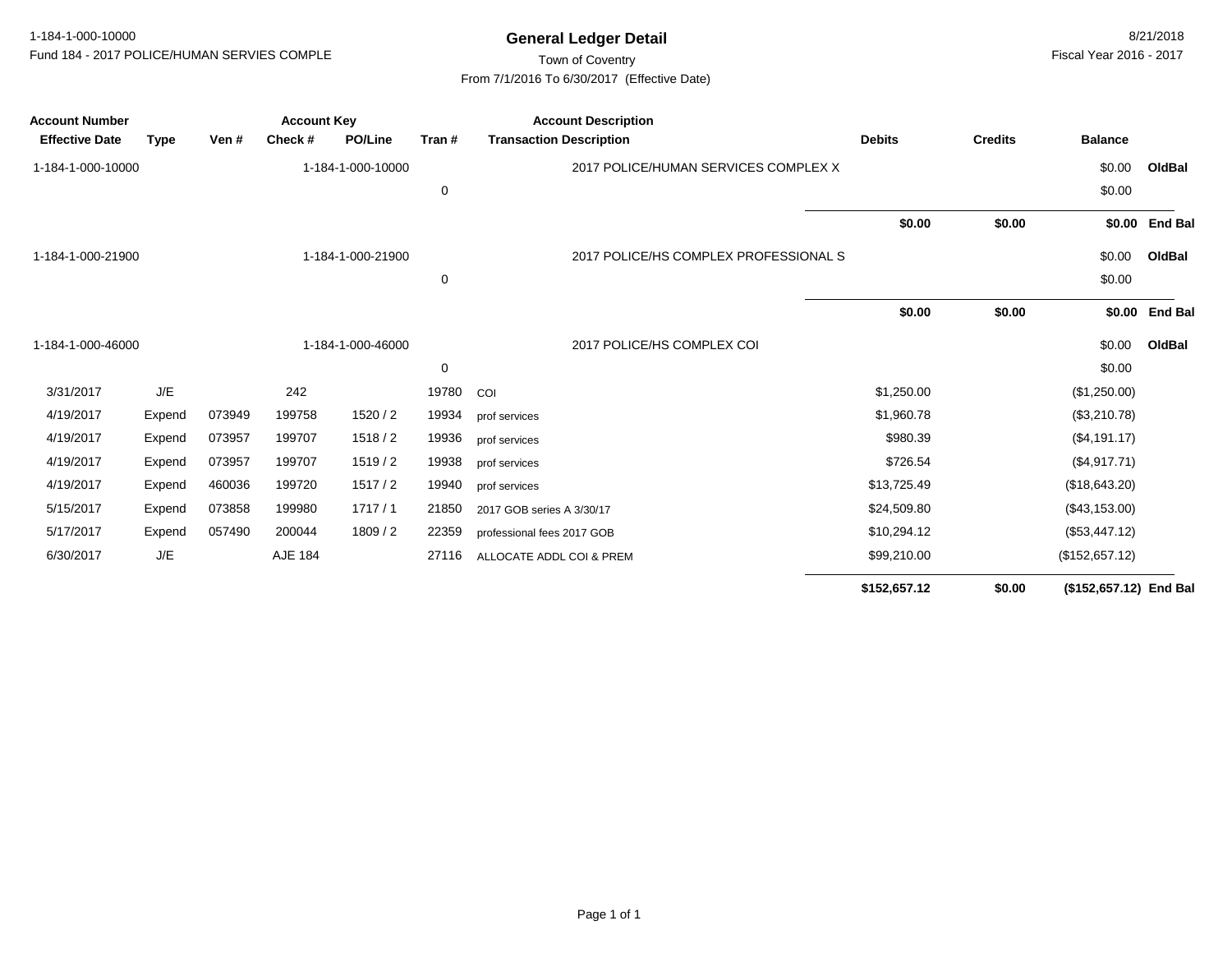## Town of Coventry From 7/1/2016 To 6/30/2017 (Effective Date)

| <b>Account Number</b> |             | <b>Account Key</b> |         |                   |       | <b>Account Description</b>            |               |                |                        |                |
|-----------------------|-------------|--------------------|---------|-------------------|-------|---------------------------------------|---------------|----------------|------------------------|----------------|
| <b>Effective Date</b> | <b>Type</b> | Ven #              | Check # | <b>PO/Line</b>    | Tran# | <b>Transaction Description</b>        | <b>Debits</b> | <b>Credits</b> | <b>Balance</b>         |                |
| 1-184-1-000-10000     |             |                    |         | 1-184-1-000-10000 |       | 2017 POLICE/HUMAN SERVICES COMPLEX X  |               |                | \$0.00                 | OldBal         |
|                       |             |                    |         |                   | 0     |                                       |               |                | \$0.00                 |                |
|                       |             |                    |         |                   |       |                                       | \$0.00        | \$0.00         |                        | \$0.00 End Bal |
| 1-184-1-000-21900     |             |                    |         | 1-184-1-000-21900 |       | 2017 POLICE/HS COMPLEX PROFESSIONAL S |               |                | \$0.00                 | OldBal         |
|                       |             |                    |         |                   | 0     |                                       |               |                | \$0.00                 |                |
|                       |             |                    |         |                   |       |                                       | \$0.00        | \$0.00         |                        | \$0.00 End Bal |
| 1-184-1-000-46000     |             |                    |         | 1-184-1-000-46000 |       | 2017 POLICE/HS COMPLEX COI            |               |                | \$0.00                 | OldBal         |
|                       |             |                    |         |                   | 0     |                                       |               |                | \$0.00                 |                |
| 3/31/2017             | J/E         |                    | 242     |                   | 19780 | COI                                   | \$1,250.00    |                | (\$1,250.00)           |                |
| 4/19/2017             | Expend      | 073949             | 199758  | 1520/2            | 19934 | prof services                         | \$1,960.78    |                | (\$3,210.78)           |                |
| 4/19/2017             | Expend      | 073957             | 199707  | 1518/2            | 19936 | prof services                         | \$980.39      |                | (\$4,191.17)           |                |
| 4/19/2017             | Expend      | 073957             | 199707  | 1519/2            | 19938 | prof services                         | \$726.54      |                | (\$4,917.71)           |                |
| 4/19/2017             | Expend      | 460036             | 199720  | 1517/2            | 19940 | prof services                         | \$13,725.49   |                | (\$18,643.20)          |                |
| 5/15/2017             | Expend      | 073858             | 199980  | 1717/1            | 21850 | 2017 GOB series A 3/30/17             | \$24,509.80   |                | (\$43,153.00)          |                |
| 5/17/2017             | Expend      | 057490             | 200044  | 1809/2            | 22359 | professional fees 2017 GOB            | \$10,294.12   |                | (\$53,447.12)          |                |
| 6/30/2017             | J/E         |                    | AJE 184 |                   | 27116 | ALLOCATE ADDL COI & PREM              | \$99,210.00   |                | (\$152,657.12)         |                |
|                       |             |                    |         |                   |       |                                       | \$152,657.12  | \$0.00         | (\$152,657.12) End Bal |                |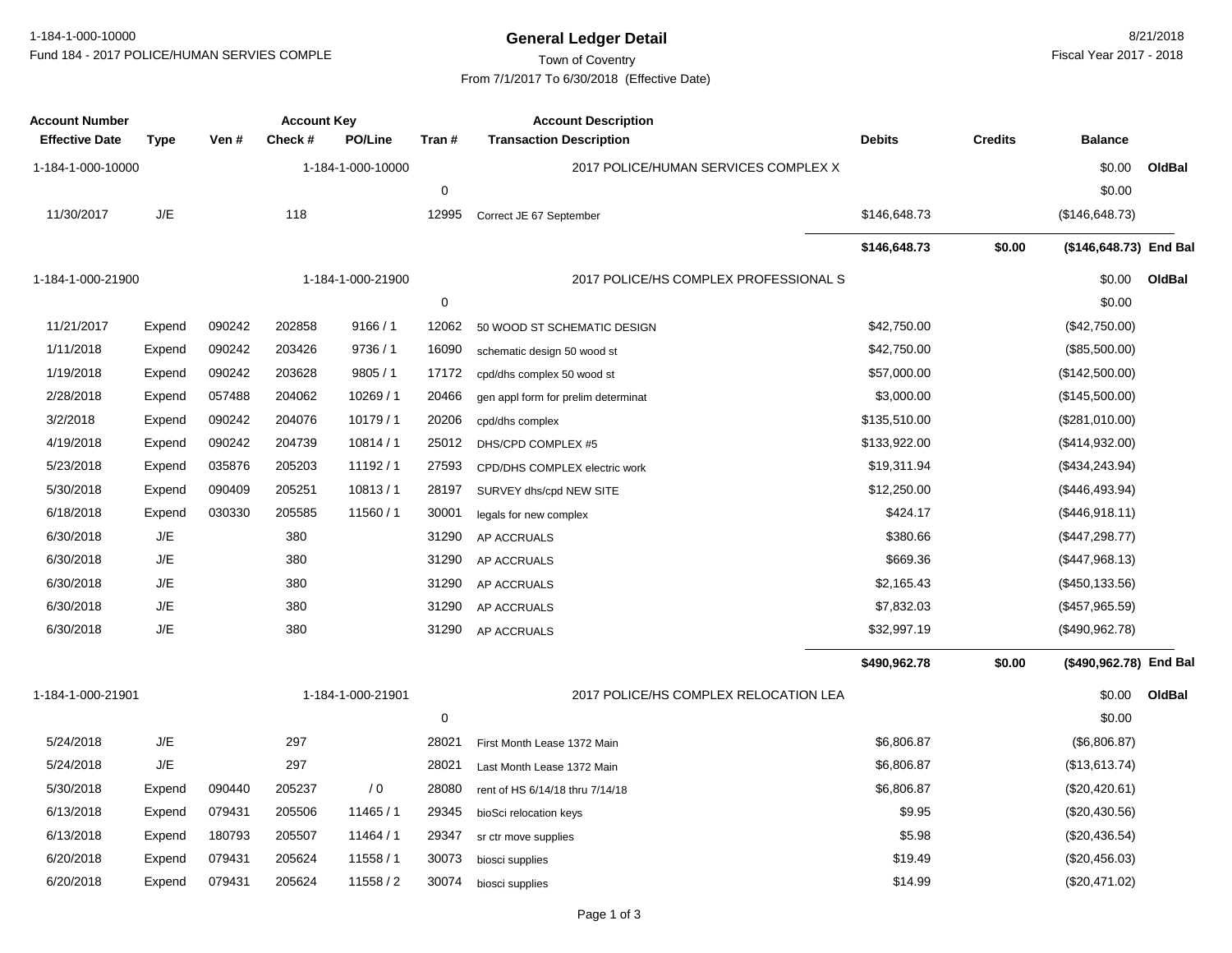**General Ledger Detail** 8/21/2018 1-184-1-000-10000Fund 184 - 2017 POLICE/HUMAN SERVIES COMPLE

# Town of Coventry From 7/1/2017 To 6/30/2018 (Effective Date)

| <b>Account Number</b><br><b>Effective Date</b> | <b>Type</b> | Ven #  | <b>Account Key</b><br>Check# | <b>PO/Line</b>    | Tran#       | <b>Account Description</b><br><b>Transaction Description</b> | <b>Debits</b> | <b>Credits</b> | <b>Balance</b>         |        |
|------------------------------------------------|-------------|--------|------------------------------|-------------------|-------------|--------------------------------------------------------------|---------------|----------------|------------------------|--------|
|                                                |             |        |                              |                   |             |                                                              |               |                |                        |        |
| 1-184-1-000-10000                              |             |        |                              | 1-184-1-000-10000 |             | 2017 POLICE/HUMAN SERVICES COMPLEX X                         |               |                | \$0.00                 | OldBal |
|                                                |             |        |                              |                   | $\pmb{0}$   |                                                              |               |                | \$0.00                 |        |
| 11/30/2017                                     | $J/E$       |        | 118                          |                   | 12995       | Correct JE 67 September                                      | \$146,648.73  |                | (\$146,648.73)         |        |
|                                                |             |        |                              |                   |             |                                                              | \$146,648.73  | \$0.00         | (\$146,648.73) End Bal |        |
| 1-184-1-000-21900                              |             |        |                              | 1-184-1-000-21900 |             | 2017 POLICE/HS COMPLEX PROFESSIONAL S                        |               |                | \$0.00                 | OldBal |
|                                                |             |        |                              |                   | $\mathbf 0$ |                                                              |               |                | \$0.00                 |        |
| 11/21/2017                                     | Expend      | 090242 | 202858                       | 9166/1            | 12062       | 50 WOOD ST SCHEMATIC DESIGN                                  | \$42,750.00   |                | (\$42,750.00)          |        |
| 1/11/2018                                      | Expend      | 090242 | 203426                       | 9736 / 1          | 16090       | schematic design 50 wood st                                  | \$42,750.00   |                | (\$85,500.00)          |        |
| 1/19/2018                                      | Expend      | 090242 | 203628                       | 9805/1            | 17172       | cpd/dhs complex 50 wood st                                   | \$57,000.00   |                | (\$142,500.00)         |        |
| 2/28/2018                                      | Expend      | 057488 | 204062                       | 10269/1           | 20466       | gen appl form for prelim determinat                          | \$3,000.00    |                | (\$145,500.00)         |        |
| 3/2/2018                                       | Expend      | 090242 | 204076                       | 10179/1           | 20206       | cpd/dhs complex                                              | \$135,510.00  |                | (\$281,010.00)         |        |
| 4/19/2018                                      | Expend      | 090242 | 204739                       | 10814/1           | 25012       | DHS/CPD COMPLEX #5                                           | \$133,922.00  |                | $(\$414,932.00)$       |        |
| 5/23/2018                                      | Expend      | 035876 | 205203                       | 11192/1           | 27593       | CPD/DHS COMPLEX electric work                                | \$19,311.94   |                | (\$434, 243.94)        |        |
| 5/30/2018                                      | Expend      | 090409 | 205251                       | 10813/1           | 28197       | SURVEY dhs/cpd NEW SITE                                      | \$12,250.00   |                | (\$446,493.94)         |        |
| 6/18/2018                                      | Expend      | 030330 | 205585                       | 11560/1           | 30001       | legals for new complex                                       | \$424.17      |                | (\$446,918.11)         |        |
| 6/30/2018                                      | J/E         |        | 380                          |                   | 31290       | AP ACCRUALS                                                  | \$380.66      |                | (\$447, 298.77)        |        |
| 6/30/2018                                      | J/E         |        | 380                          |                   | 31290       | AP ACCRUALS                                                  | \$669.36      |                | (\$447,968.13)         |        |
| 6/30/2018                                      | J/E         |        | 380                          |                   | 31290       | AP ACCRUALS                                                  | \$2,165.43    |                | (\$450, 133.56)        |        |
| 6/30/2018                                      | J/E         |        | 380                          |                   | 31290       | AP ACCRUALS                                                  | \$7,832.03    |                | (\$457,965.59)         |        |
| 6/30/2018                                      | J/E         |        | 380                          |                   | 31290       | AP ACCRUALS                                                  | \$32,997.19   |                | (\$490,962.78)         |        |
|                                                |             |        |                              |                   |             |                                                              | \$490,962.78  | \$0.00         | (\$490,962.78) End Bal |        |
| 1-184-1-000-21901                              |             |        |                              | 1-184-1-000-21901 |             | 2017 POLICE/HS COMPLEX RELOCATION LEA                        |               |                | \$0.00                 | OldBal |
|                                                |             |        |                              |                   | 0           |                                                              |               |                | \$0.00                 |        |
| 5/24/2018                                      | J/E         |        | 297                          |                   | 28021       | First Month Lease 1372 Main                                  | \$6,806.87    |                | (\$6,806.87)           |        |
| 5/24/2018                                      | $J/E$       |        | 297                          |                   | 28021       | Last Month Lease 1372 Main                                   | \$6,806.87    |                | (\$13,613.74)          |        |
| 5/30/2018                                      | Expend      | 090440 | 205237                       | / 0               | 28080       | rent of HS 6/14/18 thru 7/14/18                              | \$6,806.87    |                | (\$20,420.61)          |        |
| 6/13/2018                                      | Expend      | 079431 | 205506                       | 11465 / 1         | 29345       | bioSci relocation keys                                       | \$9.95        |                | $(\$20,430.56)$        |        |
| 6/13/2018                                      | Expend      | 180793 | 205507                       | 11464 / 1         | 29347       | sr ctr move supplies                                         | \$5.98        |                | $(\$20,436.54)$        |        |
| 6/20/2018                                      | Expend      | 079431 | 205624                       | 11558 / 1         | 30073       | biosci supplies                                              | \$19.49       |                | (\$20,456.03)          |        |
| 6/20/2018                                      | Expend      | 079431 | 205624                       | 11558/2           | 30074       | biosci supplies                                              | \$14.99       |                | (\$20,471.02)          |        |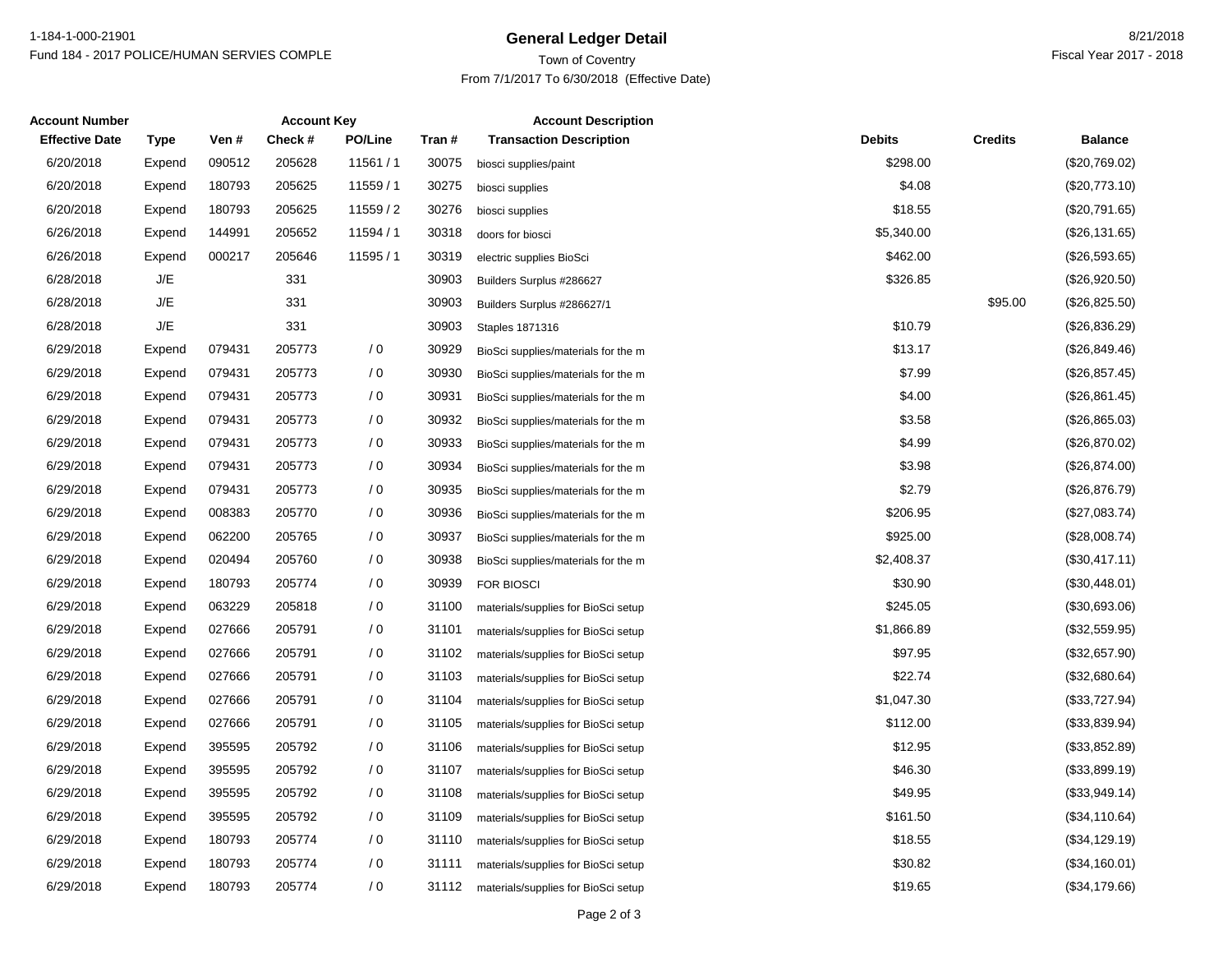### **General Ledger Detail** 8/21/2018 1-184-1-000-21901Fund 184 - 2017 POLICE/HUMAN SERVIES COMPLE

## Town of Coventry From 7/1/2017 To 6/30/2018 (Effective Date)

| <b>Account Number</b> | <b>Account Key</b> |        |         | <b>Account Description</b> |        |                                     |               |                |                |
|-----------------------|--------------------|--------|---------|----------------------------|--------|-------------------------------------|---------------|----------------|----------------|
| <b>Effective Date</b> | Type               | Ven #  | Check # | <b>PO/Line</b>             | Tran # | <b>Transaction Description</b>      | <b>Debits</b> | <b>Credits</b> | <b>Balance</b> |
| 6/20/2018             | Expend             | 090512 | 205628  | 11561 / 1                  | 30075  | biosci supplies/paint               | \$298.00      |                | (\$20,769.02)  |
| 6/20/2018             | Expend             | 180793 | 205625  | 11559/1                    | 30275  | biosci supplies                     | \$4.08        |                | (\$20,773.10)  |
| 6/20/2018             | Expend             | 180793 | 205625  | 11559 / 2                  | 30276  | biosci supplies                     | \$18.55       |                | (\$20,791.65)  |
| 6/26/2018             | Expend             | 144991 | 205652  | 11594 / 1                  | 30318  | doors for biosci                    | \$5,340.00    |                | (\$26,131.65)  |
| 6/26/2018             | Expend             | 000217 | 205646  | 11595 / 1                  | 30319  | electric supplies BioSci            | \$462.00      |                | (\$26,593.65)  |
| 6/28/2018             | J/E                |        | 331     |                            | 30903  | Builders Surplus #286627            | \$326.85      |                | (\$26,920.50)  |
| 6/28/2018             | J/E                |        | 331     |                            | 30903  | Builders Surplus #286627/1          |               | \$95.00        | (\$26,825.50)  |
| 6/28/2018             | J/E                |        | 331     |                            | 30903  | <b>Staples 1871316</b>              | \$10.79       |                | (\$26,836.29)  |
| 6/29/2018             | Expend             | 079431 | 205773  | / 0                        | 30929  | BioSci supplies/materials for the m | \$13.17       |                | (\$26,849.46)  |
| 6/29/2018             | Expend             | 079431 | 205773  | / 0                        | 30930  | BioSci supplies/materials for the m | \$7.99        |                | (\$26,857.45)  |
| 6/29/2018             | Expend             | 079431 | 205773  | / 0                        | 30931  | BioSci supplies/materials for the m | \$4.00        |                | (\$26,861.45)  |
| 6/29/2018             | Expend             | 079431 | 205773  | / 0                        | 30932  | BioSci supplies/materials for the m | \$3.58        |                | (\$26,865.03)  |
| 6/29/2018             | Expend             | 079431 | 205773  | / 0                        | 30933  | BioSci supplies/materials for the m | \$4.99        |                | (\$26,870.02)  |
| 6/29/2018             | Expend             | 079431 | 205773  | / 0                        | 30934  | BioSci supplies/materials for the m | \$3.98        |                | (\$26,874.00)  |
| 6/29/2018             | Expend             | 079431 | 205773  | / 0                        | 30935  | BioSci supplies/materials for the m | \$2.79        |                | (\$26,876.79)  |
| 6/29/2018             | Expend             | 008383 | 205770  | / 0                        | 30936  | BioSci supplies/materials for the m | \$206.95      |                | (\$27,083.74)  |
| 6/29/2018             | Expend             | 062200 | 205765  | /0                         | 30937  | BioSci supplies/materials for the m | \$925.00      |                | (\$28,008.74)  |
| 6/29/2018             | Expend             | 020494 | 205760  | / 0                        | 30938  | BioSci supplies/materials for the m | \$2,408.37    |                | (\$30,417.11)  |
| 6/29/2018             | Expend             | 180793 | 205774  | / 0                        | 30939  | <b>FOR BIOSCI</b>                   | \$30.90       |                | (\$30,448.01)  |
| 6/29/2018             | Expend             | 063229 | 205818  | $\sqrt{0}$                 | 31100  | materials/supplies for BioSci setup | \$245.05      |                | (\$30,693.06)  |
| 6/29/2018             | Expend             | 027666 | 205791  | / 0                        | 31101  | materials/supplies for BioSci setup | \$1,866.89    |                | (\$32,559.95)  |
| 6/29/2018             | Expend             | 027666 | 205791  | $\sqrt{0}$                 | 31102  | materials/supplies for BioSci setup | \$97.95       |                | (\$32,657.90)  |
| 6/29/2018             | Expend             | 027666 | 205791  | / 0                        | 31103  | materials/supplies for BioSci setup | \$22.74       |                | (\$32,680.64)  |
| 6/29/2018             | Expend             | 027666 | 205791  | / 0                        | 31104  | materials/supplies for BioSci setup | \$1,047.30    |                | (\$33,727.94)  |
| 6/29/2018             | Expend             | 027666 | 205791  | / 0                        | 31105  | materials/supplies for BioSci setup | \$112.00      |                | (\$33,839.94)  |
| 6/29/2018             | Expend             | 395595 | 205792  | /0                         | 31106  | materials/supplies for BioSci setup | \$12.95       |                | (\$33,852.89)  |
| 6/29/2018             | Expend             | 395595 | 205792  | / 0                        | 31107  | materials/supplies for BioSci setup | \$46.30       |                | (\$33,899.19)  |
| 6/29/2018             | Expend             | 395595 | 205792  | / 0                        | 31108  | materials/supplies for BioSci setup | \$49.95       |                | (\$33,949.14)  |
| 6/29/2018             | Expend             | 395595 | 205792  | $\sqrt{0}$                 | 31109  | materials/supplies for BioSci setup | \$161.50      |                | (\$34,110.64)  |
| 6/29/2018             | Expend             | 180793 | 205774  | / 0                        | 31110  | materials/supplies for BioSci setup | \$18.55       |                | (\$34,129.19)  |
| 6/29/2018             | Expend             | 180793 | 205774  | $\sqrt{0}$                 | 31111  | materials/supplies for BioSci setup | \$30.82       |                | (\$34,160.01)  |
| 6/29/2018             | Expend             | 180793 | 205774  | / 0                        | 31112  | materials/supplies for BioSci setup | \$19.65       |                | (\$34,179.66)  |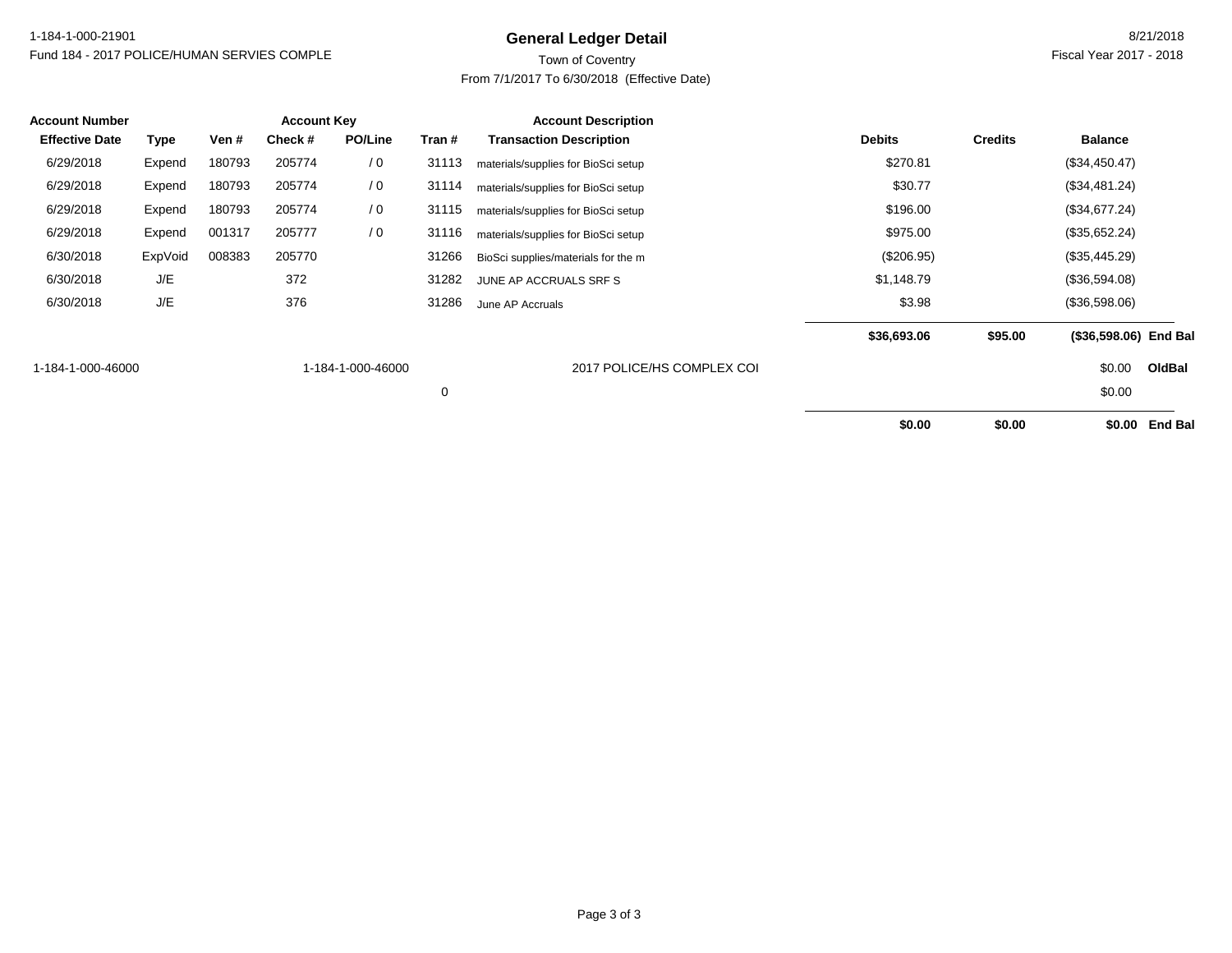### **General Ledger Detail** 8/21/2018 1-184-1-000-21901Fund 184 - 2017 POLICE/HUMAN SERVIES COMPLE

## Town of Coventry From 7/1/2017 To 6/30/2018 (Effective Date)

| <b>Account Number</b> |         |        | <b>Account Key</b> |                   |        | <b>Account Description</b>          |               |                |                       |                |
|-----------------------|---------|--------|--------------------|-------------------|--------|-------------------------------------|---------------|----------------|-----------------------|----------------|
| <b>Effective Date</b> | Type    | Ven #  | Check#             | PO/Line           | Tran # | <b>Transaction Description</b>      | <b>Debits</b> | <b>Credits</b> | <b>Balance</b>        |                |
| 6/29/2018             | Expend  | 180793 | 205774             | / 0               | 31113  | materials/supplies for BioSci setup | \$270.81      |                | (\$34,450.47)         |                |
| 6/29/2018             | Expend  | 180793 | 205774             | / 0               | 31114  | materials/supplies for BioSci setup | \$30.77       |                | (\$34,481.24)         |                |
| 6/29/2018             | Expend  | 180793 | 205774             | / 0               | 31115  | materials/supplies for BioSci setup | \$196.00      |                | (\$34,677.24)         |                |
| 6/29/2018             | Expend  | 001317 | 205777             | $\sqrt{0}$        | 31116  | materials/supplies for BioSci setup | \$975.00      |                | (\$35,652.24)         |                |
| 6/30/2018             | ExpVoid | 008383 | 205770             |                   | 31266  | BioSci supplies/materials for the m | $(\$206.95)$  |                | (\$35,445.29)         |                |
| 6/30/2018             | J/E     |        | 372                |                   | 31282  | JUNE AP ACCRUALS SRF S              | \$1,148.79    |                | (\$36,594.08)         |                |
| 6/30/2018             | J/E     |        | 376                |                   | 31286  | June AP Accruals                    | \$3.98        |                | (\$36,598.06)         |                |
|                       |         |        |                    |                   |        |                                     | \$36,693.06   | \$95.00        | (\$36,598.06) End Bal |                |
| 1-184-1-000-46000     |         |        |                    | 1-184-1-000-46000 |        | 2017 POLICE/HS COMPLEX COI          |               |                | \$0.00                | OldBal         |
|                       |         |        |                    |                   | 0      |                                     |               |                | \$0.00                |                |
|                       |         |        |                    |                   |        |                                     | \$0.00        | \$0.00         | \$0.00                | <b>End Bal</b> |